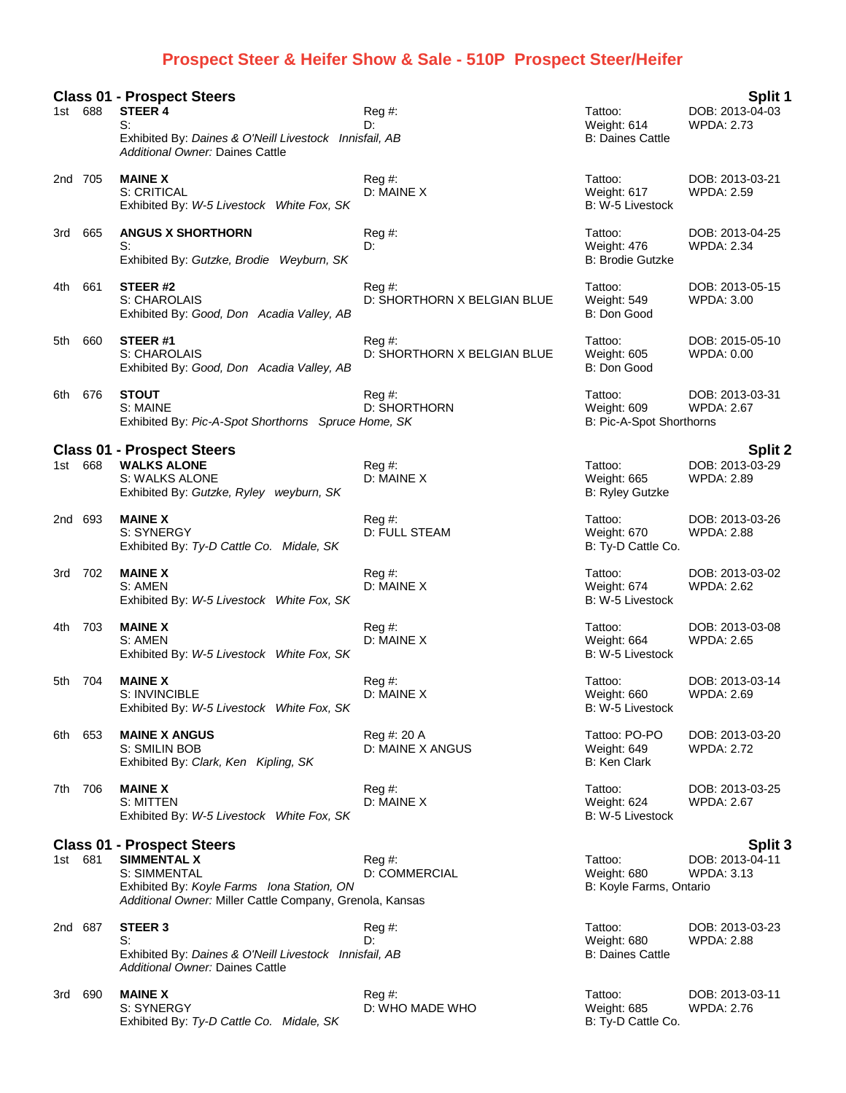## **Prospect Steer & Heifer Show & Sale - 510P Prospect Steer/Heifer**

**Class 01 - Prospect Steers Split 1** 1st 688 **STEER 4** Reg #: Tattoo: DOB: 2013-04-03 S: D: Weight: 614 WPDA: 2.73 Exhibited By: *Daines & O'Neill Livestock Innisfail, AB* B: Daines Cattle B: Daines Cattle *Additional Owner:* Daines Cattle 2nd 705 **MAINE X** Reg #: Tattoo: DOB: 2013-03-21 S: CRITICAL D: MAINE X Weight: 617 WPDA: 2.59 Exhibited By: *W-5 Livestock White Fox, SK* B: W-5 Livestock By: W-5 Livestock 3rd 665 **ANGUS X SHORTHORN** Reg #: Tattoo: DOB: 2013-04-25 S: D: Weight: 476 WPDA: 2.34 Exhibited By: Gutzke, Brodie Weyburn, SK B: B: Brodie Gutzke 4th 661 **STEER #2** Reg #: Tattoo: DOB: 2013-05-15 S: CHAROLAIS **D: SHORTHORN X BELGIAN BLUE** Weight: 549<br>Exhibited By: Good, Don Acadia Valley, AB B: Don Good Exhibited By: Good, Don Acadia Valley, AB 5th 660 **STEER #1** Reg #: Tattoo: DOB: 2015-05-10 S: CHAROLAIS D: SHORTHORN X BELGIAN BLUE Weight: 605 WPDA: 0.00 Exhibited By: *Good, Don Acadia Valley, AB* B: Don Good, B: Don Good 6th 676 **STOUT** Reg #: Tattoo: DOB: 2013-03-31 D: SHORTHORN Exhibited By: *Pic-A-Spot Shorthorns Spruce Home, SK* B: Pic-A-Spot Shorthorns Spruce Property B: Pic-A-Spot Shorthorns **Class 01 - Prospect Steers Split 2** 1st 668 WALKS ALONE **Reg #:** Reg #: Reg #: Tattoo: DOB: 2013-03-29<br>S: WALKS ALONE **Reg Assumes D: MAINE X** D: MAINE X Weight: 665 WPDA: 2.89 S: WALKS ALONE D: MAINE X Exhibited By: *Gutzke, Ryley weyburn, SK* B: Ryley Gutzke 2nd 693 **MAINE X** Reg #: Tattoo: DOB: 2013-03-26 S: SYNERGY **D: FULL STEAM** D: FULL STEAM Weight: 670 WPDA: 2.88 Exhibited By: Ty-D Cattle Co. Midale, SK B: Ty-D Cattle Co. 3rd 702 **MAINE X** Reg #: Tattoo: DOB: 2013-03-02 S: AMEN D: MAINE X Weight: 674 WPDA: 2.62 Exhibited By: *W-5 Livestock White Fox, SK* B: W-5 Livestock B: W-5 Livestock 4th 703 **MAINE X** Reg #: Tattoo: DOB: 2013-03-08 S: AMEN D: MAINE X Weight: 664 WPDA: 2.65 Exhibited By: *W-5 Livestock White Fox, SK* B: W-5 Livestock B: W-5 Livestock B: W-5 Livestock B: W-5 Livestock B: W-5 Livestock B: W-5 Livestock B: W-5 Livestock B: W-6 Livestock B: W-6 Livestock B: W-6 Livestock B: W-6 L 5th 704 **MAINE X** Reg #: Tattoo: DOB: 2013-03-14 S: INVINCIBLE **D: MAINE X** D: MAINE X Weight: 660 WPDA: 2.69 Exhibited By: W-5 Livestock White Fox, SK B: W-5 Livestock Exhibited By: W-5 Livestock White Fox, SK 6th 653 **MAINE X ANGUS** Reg #: 20 A Tattoo: PO-PO DOB: 2013-03-20 D: MAINE X ANGUS<br>B: Ken Clark<br>B: Ken Clark Exhibited By: Clark, Ken Kipling, SK 7th 706 **MAINE X** Reg #: Tattoo: DOB: 2013-03-25 S: MITTEN D: MAINE X Weight: 624 WPDA: 2.67 Exhibited By: W-5 Livestock White Fox, SK B: Westock B: W-5 Livestock **Class 01 - Prospect Steers Split 3** 1st 681 **SIMMENTAL X** Reg #: Tattoo: DOB: 2013-04-11 S: SIMMENTAL D: COMMERCIAL Weight: 680 WPDA: 3.13 Exhibited By: Koyle Farms Iona Station, ON B: Koyle Farms, Ontario *Additional Owner:* Miller Cattle Company, Grenola, Kansas 2nd 687 **STEER 3** Reg #: Tattoo: DOB: 2013-03-23 S: D: Weight: 680 WPDA: 2.88 Exhibited By: *Daines & O'Neill Livestock Innisfail, AB* B: Daines Cattle B: Daines Cattle *Additional Owner:* Daines Cattle 3rd 690 **MAINE X** Reg #: Tattoo: DOB: 2013-03-11 S: SYNERGY **D: WHO MADE WHO WHO WHO WEIGHT: 685** WPDA: 2.76 Exhibited By: Ty-D Cattle Co. Midale, SK B: Ty-D Cattle Co.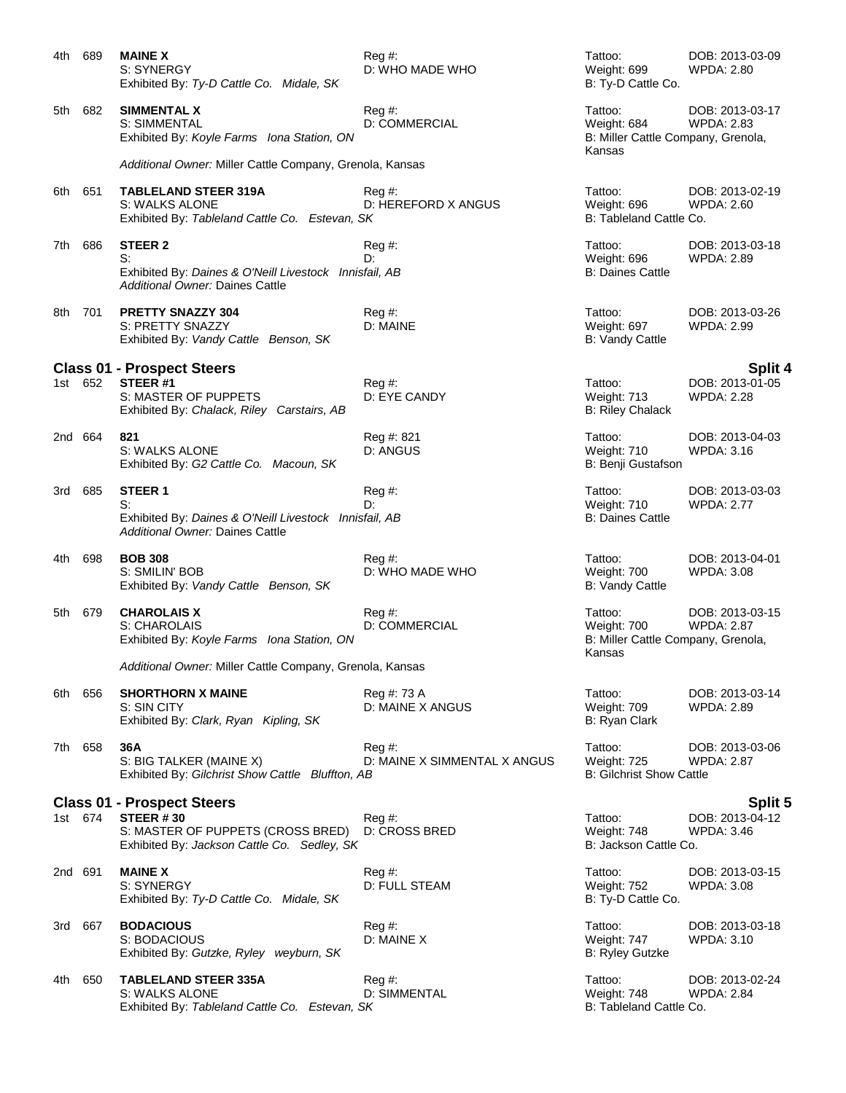| 4th                               | 689     | <b>MAINE X</b><br>S: SYNERGY<br>Exhibited By: Ty-D Cattle Co. Midale, SK                             | $Reg#$ :<br>D: WHO MADE WHO          | Tattoo:<br>Weight: 699<br>B: Ty-D Cattle Co.                           | DOB: 2013-03-09<br><b>WPDA: 2.80</b> |  |
|-----------------------------------|---------|------------------------------------------------------------------------------------------------------|--------------------------------------|------------------------------------------------------------------------|--------------------------------------|--|
|                                   | 5th 682 | <b>SIMMENTAL X</b><br>S: SIMMENTAL<br>Exhibited By: Koyle Farms Iona Station, ON                     | $Reg#$ :<br><b>D: COMMERCIAL</b>     | Tattoo:<br>Weight: 684<br>B: Miller Cattle Company, Grenola,<br>Kansas | DOB: 2013-03-17<br><b>WPDA: 2.83</b> |  |
|                                   |         | Additional Owner: Miller Cattle Company, Grenola, Kansas                                             |                                      |                                                                        |                                      |  |
| 6th 651                           |         | <b>TABLELAND STEER 319A</b><br>S: WALKS ALONE<br>Exhibited By: Tableland Cattle Co. Estevan, SK      | Reg#<br>D: HEREFORD X ANGUS          | Tattoo:<br>Weight: 696<br>B: Tableland Cattle Co.                      | DOB: 2013-02-19<br>WPDA: 2.60        |  |
| 7th.                              | 686     | <b>STEER 2</b><br>S:<br>Exhibited By: Daines & O'Neill Livestock Innisfail, AB                       | Reg#<br>D:                           | Tattoo:<br>Weight: 696<br><b>B: Daines Cattle</b>                      | DOB: 2013-03-18<br><b>WPDA: 2.89</b> |  |
|                                   |         | Additional Owner: Daines Cattle                                                                      |                                      |                                                                        |                                      |  |
| 8th                               | 701     | <b>PRETTY SNAZZY 304</b><br>S: PRETTY SNAZZY<br>Exhibited By: Vandy Cattle Benson, SK                | Reg #:<br>D: MAINE                   | Tattoo:<br>Weight: 697<br><b>B: Vandy Cattle</b>                       | DOB: 2013-03-26<br><b>WPDA: 2.99</b> |  |
|                                   |         | <b>Class 01 - Prospect Steers</b>                                                                    |                                      |                                                                        | <b>Split 4</b>                       |  |
|                                   | 1st 652 | STEER#1<br>S: MASTER OF PUPPETS<br>Exhibited By: Chalack, Riley Carstairs, AB                        | $Reg \#$ :<br>D: EYE CANDY           | Tattoo:<br>Weight: 713<br><b>B: Riley Chalack</b>                      | DOB: 2013-01-05<br><b>WPDA: 2.28</b> |  |
|                                   | 2nd 664 | 821<br>S: WALKS ALONE<br>Exhibited By: G2 Cattle Co. Macoun, SK                                      | Reg #: 821<br>D: ANGUS               | Tattoo:<br>Weight: 710<br>B: Benji Gustafson                           | DOB: 2013-04-03<br><b>WPDA: 3.16</b> |  |
| 3rd -                             | 685     | STEER <sub>1</sub>                                                                                   | Reg#                                 | Tattoo:                                                                | DOB: 2013-03-03                      |  |
|                                   |         | S:<br>Exhibited By: Daines & O'Neill Livestock Innisfail, AB<br>Additional Owner: Daines Cattle      | D:                                   | Weight: 710<br><b>B: Daines Cattle</b>                                 | <b>WPDA: 2.77</b>                    |  |
| 4th l                             | 698     | <b>BOB 308</b><br>S: SMILIN' BOB<br>Exhibited By: Vandy Cattle Benson, SK                            | Reg#<br>D: WHO MADE WHO              | Tattoo:<br>Weight: 700<br><b>B: Vandy Cattle</b>                       | DOB: 2013-04-01<br><b>WPDA: 3.08</b> |  |
| 5th -                             | 679     | <b>CHAROLAIS X</b><br>S: CHAROLAIS<br>Exhibited By: Koyle Farms Iona Station, ON                     | Reg #:<br><b>D: COMMERCIAL</b>       | Tattoo:<br>Weight: 700<br>B: Miller Cattle Company, Grenola,<br>Kansas | DOB: 2013-03-15<br><b>WPDA: 2.87</b> |  |
|                                   |         | Additional Owner: Miller Cattle Company, Grenola, Kansas                                             |                                      |                                                                        |                                      |  |
| 6th -                             | 656     | <b>SHORTHORN X MAINE</b><br>S: SIN CITY<br>Exhibited By: Clark, Ryan Kipling, SK                     | Reg #: 73 A<br>D: MAINE X ANGUS      | Tattoo:<br>Weight: 709<br>B: Ryan Clark                                | DOB: 2013-03-14<br><b>WPDA: 2.89</b> |  |
| 7th -                             | 658     | 36A<br>S: BIG TALKER (MAINE X)<br>Exhibited By: Gilchrist Show Cattle Bluffton, AB                   | Reg#<br>D: MAINE X SIMMENTAL X ANGUS | Tattoo:<br>Weight: 725<br><b>B: Gilchrist Show Cattle</b>              | DOB: 2013-03-06<br><b>WPDA: 2.87</b> |  |
| <b>Class 01 - Prospect Steers</b> |         |                                                                                                      |                                      |                                                                        | <b>Split 5</b>                       |  |
|                                   | 1st 674 | <b>STEER #30</b><br>S: MASTER OF PUPPETS (CROSS BRED)<br>Exhibited By: Jackson Cattle Co. Sedley, SK | Reg #:<br>D: CROSS BRED              | Tattoo:<br>Weight: 748<br>B: Jackson Cattle Co.                        | DOB: 2013-04-12<br><b>WPDA: 3.46</b> |  |
|                                   | 2nd 691 | <b>MAINE X</b><br>S: SYNERGY<br>Exhibited By: Ty-D Cattle Co. Midale, SK                             | Reg #:<br>D: FULL STEAM              | Tattoo:<br>Weight: 752<br>B: Ty-D Cattle Co.                           | DOB: 2013-03-15<br><b>WPDA: 3.08</b> |  |
| 3rd l                             | 667     | <b>BODACIOUS</b><br>S: BODACIOUS<br>Exhibited By: Gutzke, Ryley weyburn, SK                          | $Reg#$ :<br>D: MAINE X               | Tattoo:<br>Weight: 747<br><b>B: Ryley Gutzke</b>                       | DOB: 2013-03-18<br>WPDA: 3.10        |  |
| 4th -                             | 650     | <b>TABLELAND STEER 335A</b><br>S: WALKS ALONE<br>Exhibited By: Tableland Cattle Co. Estevan, SK      | Reg #:<br><b>D: SIMMENTAL</b>        | Tattoo:<br>Weight: 748<br>B: Tableland Cattle Co.                      | DOB: 2013-02-24<br><b>WPDA: 2.84</b> |  |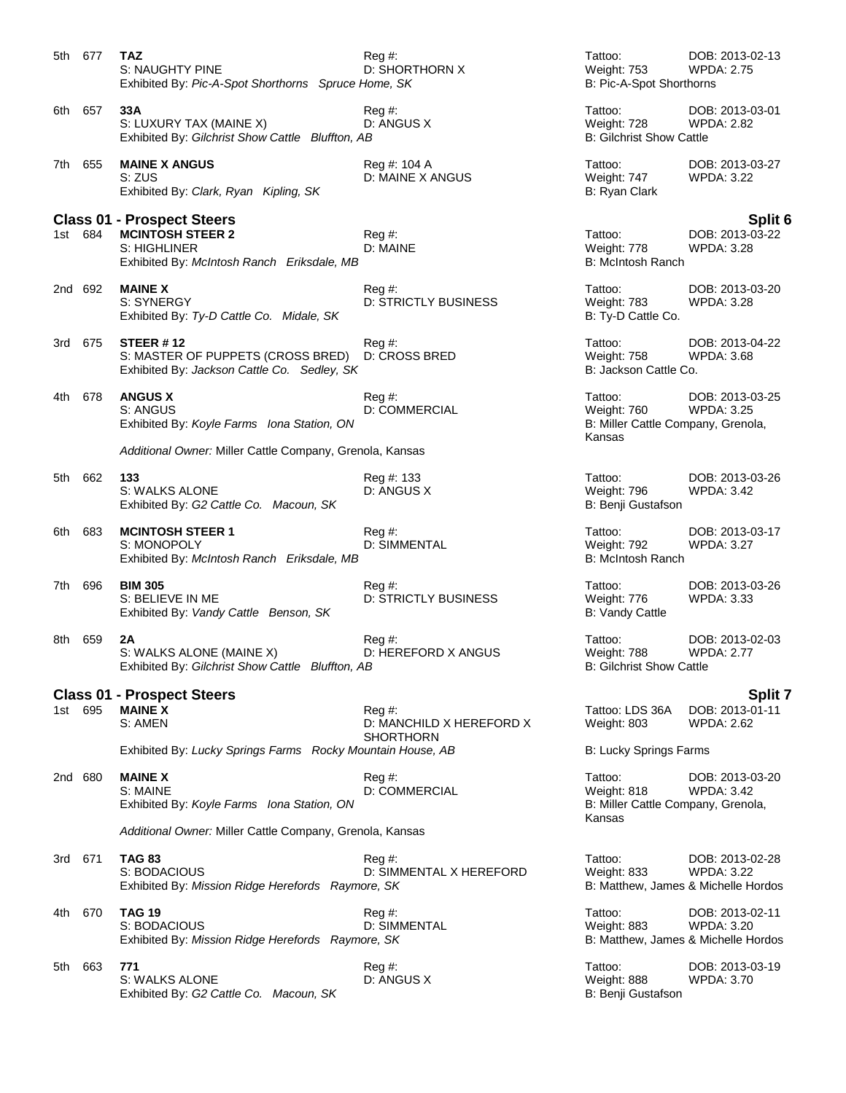|                                                          | 5th 677 | <b>TAZ</b><br>S: NAUGHTY PINE<br>Exhibited By: Pic-A-Spot Shorthorns Spruce Home, SK                 | Reg #:<br>D: SHORTHORN X                             | Tattoo:<br><b>Weight: 753</b><br>B: Pic-A-Spot Shorthorns              | DOB: 2013-02-13<br><b>WPDA: 2.75</b>                                 |
|----------------------------------------------------------|---------|------------------------------------------------------------------------------------------------------|------------------------------------------------------|------------------------------------------------------------------------|----------------------------------------------------------------------|
|                                                          | 6th 657 | 33A<br>S: LUXURY TAX (MAINE X)<br>Exhibited By: Gilchrist Show Cattle Bluffton, AB                   | Reg#<br>D: ANGUS X                                   | Tattoo:<br>Weight: 728<br><b>B: Gilchrist Show Cattle</b>              | DOB: 2013-03-01<br><b>WPDA: 2.82</b>                                 |
|                                                          | 7th 655 | <b>MAINE X ANGUS</b><br>S: ZUS<br>Exhibited By: Clark, Ryan Kipling, SK                              | Reg #: 104 A<br>D: MAINE X ANGUS                     | Tattoo:<br>Weight: 747<br>B: Ryan Clark                                | DOB: 2013-03-27<br><b>WPDA: 3.22</b>                                 |
|                                                          |         | <b>Class 01 - Prospect Steers</b>                                                                    |                                                      |                                                                        | Split 6                                                              |
|                                                          | 1st 684 | <b>MCINTOSH STEER 2</b><br>S: HIGHLINER<br>Exhibited By: McIntosh Ranch Eriksdale, MB                | $Reg#$ :<br>D: MAINE                                 | Tattoo:<br>Weight: 778<br>B: McIntosh Ranch                            | DOB: 2013-03-22<br>WPDA: 3.28                                        |
|                                                          | 2nd 692 | <b>MAINE X</b><br>S: SYNERGY<br>Exhibited By: Ty-D Cattle Co. Midale, SK                             | Reg#<br><b>D: STRICTLY BUSINESS</b>                  | Tattoo:<br>Weight: 783<br>B: Ty-D Cattle Co.                           | DOB: 2013-03-20<br><b>WPDA: 3.28</b>                                 |
|                                                          | 3rd 675 | <b>STEER #12</b><br>S: MASTER OF PUPPETS (CROSS BRED)<br>Exhibited By: Jackson Cattle Co. Sedley, SK | Reg#<br><b>D: CROSS BRED</b>                         | Tattoo:<br>Weight: 758<br>B: Jackson Cattle Co.                        | DOB: 2013-04-22<br><b>WPDA: 3.68</b>                                 |
|                                                          | 4th 678 | <b>ANGUS X</b><br>S: ANGUS<br>Exhibited By: Koyle Farms Iona Station, ON                             | $\text{Req } #:$<br>D: COMMERCIAL                    | Tattoo:<br>Weight: 760<br>B: Miller Cattle Company, Grenola,<br>Kansas | DOB: 2013-03-25<br><b>WPDA: 3.25</b>                                 |
|                                                          |         | Additional Owner: Miller Cattle Company, Grenola, Kansas                                             |                                                      |                                                                        |                                                                      |
| 5th -                                                    | 662     | 133<br>S: WALKS ALONE<br>Exhibited By: G2 Cattle Co. Macoun, SK                                      | Reg #: 133<br>D: ANGUS X                             | Tattoo:<br>Weight: 796<br>B: Benji Gustafson                           | DOB: 2013-03-26<br>WPDA: 3.42                                        |
| 6th.                                                     | 683     | <b>MCINTOSH STEER 1</b><br>S: MONOPOLY<br>Exhibited By: McIntosh Ranch Eriksdale, MB                 | Reg#<br>D: SIMMENTAL                                 | Tattoo:<br>Weight: 792<br>B: McIntosh Ranch                            | DOB: 2013-03-17<br>WPDA: 3.27                                        |
| 7th                                                      | 696     | <b>BIM 305</b><br>S: BELIEVE IN ME<br>Exhibited By: Vandy Cattle Benson, SK                          | Reg#<br><b>D: STRICTLY BUSINESS</b>                  | Tattoo:<br>Weight: 776<br><b>B: Vandy Cattle</b>                       | DOB: 2013-03-26<br><b>WPDA: 3.33</b>                                 |
| 8th -                                                    | 659     | 2A<br>S: WALKS ALONE (MAINE X)<br>Exhibited By: Gilchrist Show Cattle Bluffton, AB                   | Reg#<br>D: HEREFORD X ANGUS                          | Tattoo:<br>Weight: 788<br><b>B: Gilchrist Show Cattle</b>              | DOB: 2013-02-03<br><b>WPDA: 2.77</b>                                 |
|                                                          |         | <b>Class 01 - Prospect Steers</b>                                                                    |                                                      |                                                                        | Split 7                                                              |
|                                                          | 1st 695 | <b>MAINE X</b><br>S: AMEN                                                                            | Reg#<br>D: MANCHILD X HEREFORD X<br><b>SHORTHORN</b> | Tattoo: LDS 36A<br>Weight: 803                                         | DOB: 2013-01-11<br>WPDA: 2.62                                        |
|                                                          |         | Exhibited By: Lucky Springs Farms Rocky Mountain House, AB                                           |                                                      | <b>B: Lucky Springs Farms</b>                                          |                                                                      |
|                                                          | 2nd 680 | <b>MAINE X</b><br>S: MAINE<br>Exhibited By: Koyle Farms Iona Station, ON                             | Reg #:<br><b>D: COMMERCIAL</b>                       | Tattoo:<br>Weight: 818<br>B: Miller Cattle Company, Grenola,<br>Kansas | DOB: 2013-03-20<br><b>WPDA: 3.42</b>                                 |
| Additional Owner: Miller Cattle Company, Grenola, Kansas |         |                                                                                                      |                                                      |                                                                        |                                                                      |
| 3rd                                                      | 671     | <b>TAG 83</b><br>S: BODACIOUS<br>Exhibited By: Mission Ridge Herefords Raymore, SK                   | Reg#<br>D: SIMMENTAL X HEREFORD                      | Tattoo:<br>Weight: 833<br>B: Matthew, James & Michelle Hordos          | DOB: 2013-02-28<br>WPDA: 3.22                                        |
| 4th                                                      | 670     | <b>TAG 19</b><br>S: BODACIOUS<br>Exhibited By: Mission Ridge Herefords Raymore, SK                   | Reg#<br>D: SIMMENTAL                                 | Tattoo:<br>Weight: 883                                                 | DOB: 2013-02-11<br>WPDA: 3.20<br>B: Matthew, James & Michelle Hordos |
| 5th l                                                    | 663     | 771<br>S: WALKS ALONE<br>Exhibited By: G2 Cattle Co. Macoun, SK                                      | Reg#<br>D: ANGUS X                                   | Tattoo:<br>Weight: 888<br>B: Benji Gustafson                           | DOB: 2013-03-19<br>WPDA: 3.70                                        |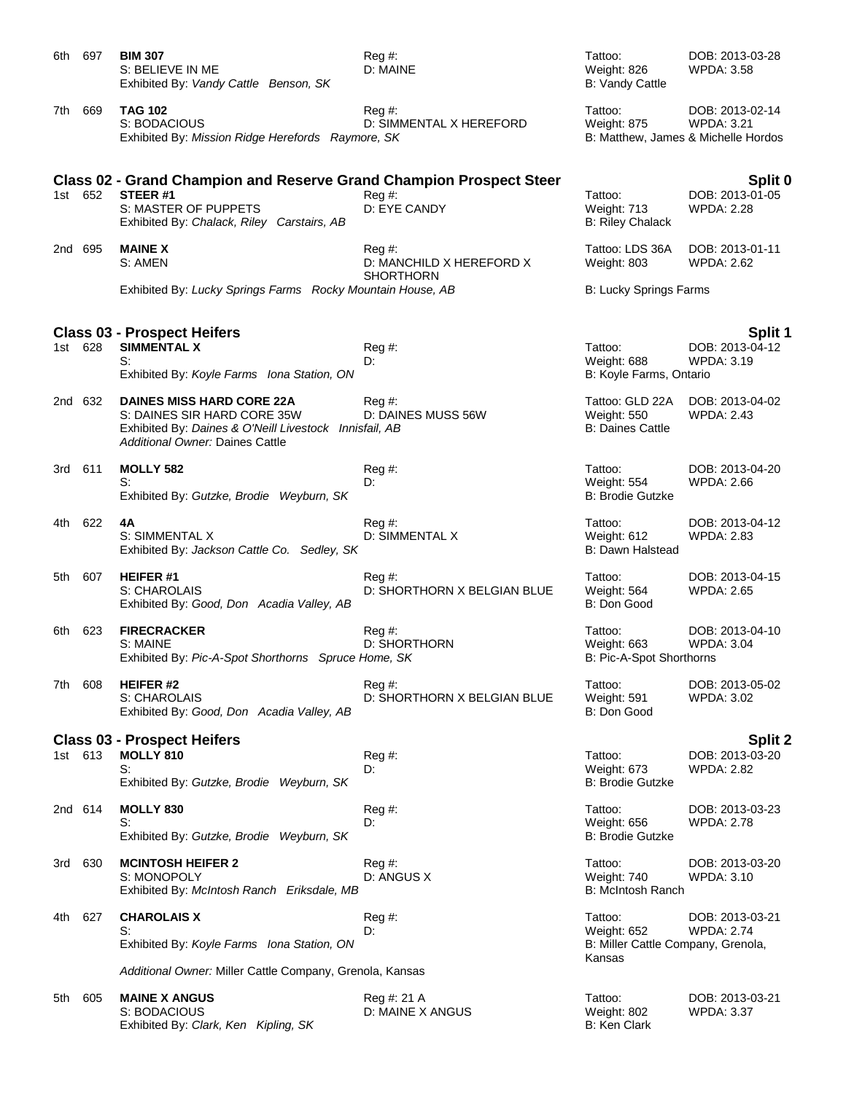| 6th.    | 697     | <b>BIM 307</b><br>S: BELIEVE IN ME<br>Exhibited By: Vandy Cattle Benson, SK                                                                                  | $Reg#$ :<br>D: MAINE                                     | Tattoo:<br>Weight: 826<br><b>B: Vandy Cattle</b>                       | DOB: 2013-03-28<br><b>WPDA: 3.58</b>            |
|---------|---------|--------------------------------------------------------------------------------------------------------------------------------------------------------------|----------------------------------------------------------|------------------------------------------------------------------------|-------------------------------------------------|
| 7th     | 669     | <b>TAG 102</b><br>S: BODACIOUS<br>Exhibited By: Mission Ridge Herefords Raymore, SK                                                                          | $Reg#$ :<br>D: SIMMENTAL X HEREFORD                      | Tattoo:<br>Weight: 875<br>B: Matthew, James & Michelle Hordos          | DOB: 2013-02-14<br><b>WPDA: 3.21</b>            |
|         | 1st 652 | <b>Class 02 - Grand Champion and Reserve Grand Champion Prospect Steer</b><br>STEER#1<br>S: MASTER OF PUPPETS<br>Exhibited By: Chalack, Riley Carstairs, AB  | $Reg#$ :<br>D: EYE CANDY                                 | Tattoo:<br>Weight: 713<br><b>B: Riley Chalack</b>                      | Split 0<br>DOB: 2013-01-05<br><b>WPDA: 2.28</b> |
|         | 2nd 695 | <b>MAINE X</b><br>S: AMEN                                                                                                                                    | $Reg#$ :<br>D: MANCHILD X HEREFORD X<br><b>SHORTHORN</b> | Tattoo: LDS 36A<br>Weight: 803                                         | DOB: 2013-01-11<br><b>WPDA: 2.62</b>            |
|         |         | Exhibited By: Lucky Springs Farms Rocky Mountain House, AB                                                                                                   |                                                          | <b>B: Lucky Springs Farms</b>                                          |                                                 |
| 1st 628 |         | <b>Class 03 - Prospect Heifers</b><br><b>SIMMENTAL X</b><br>S:<br>Exhibited By: Koyle Farms Iona Station, ON                                                 | Reg#<br>D:                                               | Tattoo:<br>Weight: 688<br>B: Koyle Farms, Ontario                      | <b>Split 1</b><br>DOB: 2013-04-12<br>WPDA: 3.19 |
|         | 2nd 632 | <b>DAINES MISS HARD CORE 22A</b><br>S: DAINES SIR HARD CORE 35W<br>Exhibited By: Daines & O'Neill Livestock Innisfail, AB<br>Additional Owner: Daines Cattle | Reg#<br>D: DAINES MUSS 56W                               | Tattoo: GLD 22A<br>Weight: 550<br><b>B: Daines Cattle</b>              | DOB: 2013-04-02<br><b>WPDA: 2.43</b>            |
| 3rd 611 |         | <b>MOLLY 582</b><br>S:<br>Exhibited By: Gutzke, Brodie Weyburn, SK                                                                                           | Reg#<br>D:                                               | Tattoo:<br>Weight: 554<br><b>B: Brodie Gutzke</b>                      | DOB: 2013-04-20<br><b>WPDA: 2.66</b>            |
| 4th     | 622     | 4A<br>S: SIMMENTAL X<br>Exhibited By: Jackson Cattle Co. Sedley, SK                                                                                          | Reg #:<br>D: SIMMENTAL X                                 | Tattoo:<br>Weight: 612<br>B: Dawn Halstead                             | DOB: 2013-04-12<br>WPDA: 2.83                   |
| 5th     | 607     | <b>HEIFER#1</b><br>S: CHAROLAIS<br>Exhibited By: Good, Don Acadia Valley, AB                                                                                 | Reg #:<br>D: SHORTHORN X BELGIAN BLUE                    | Tattoo:<br>Weight: 564<br>B: Don Good                                  | DOB: 2013-04-15<br><b>WPDA: 2.65</b>            |
| 6th     | 623     | <b>FIRECRACKER</b><br>S: MAINE<br>Exhibited By: Pic-A-Spot Shorthorns Spruce Home, SK                                                                        | Reg #:<br><b>D: SHORTHORN</b>                            | Tattoo:<br>Weight: 663<br>B: Pic-A-Spot Shorthorns                     | DOB: 2013-04-10<br><b>WPDA: 3.04</b>            |
| 7th     | 608     | <b>HEIFER#2</b><br>S: CHAROLAIS<br>Exhibited By: Good, Don Acadia Valley, AB                                                                                 | Reg #:<br>D: SHORTHORN X BELGIAN BLUE                    | Tattoo:<br>Weight: 591<br>B: Don Good                                  | DOB: 2013-05-02<br><b>WPDA: 3.02</b>            |
|         |         | <b>Class 03 - Prospect Heifers</b>                                                                                                                           |                                                          |                                                                        | Split 2                                         |
| 1st 613 |         | <b>MOLLY 810</b><br>S:<br>Exhibited By: Gutzke, Brodie Weyburn, SK                                                                                           | $Reg#$ :<br>D:                                           | Tattoo:<br>Weight: 673<br><b>B: Brodie Gutzke</b>                      | DOB: 2013-03-20<br><b>WPDA: 2.82</b>            |
|         | 2nd 614 | MOLLY 830<br>S:<br>Exhibited By: Gutzke, Brodie Weyburn, SK                                                                                                  | Reg #:<br>D:                                             | Tattoo:<br>Weight: 656<br><b>B: Brodie Gutzke</b>                      | DOB: 2013-03-23<br><b>WPDA: 2.78</b>            |
| 3rd     | 630     | <b>MCINTOSH HEIFER 2</b><br>S: MONOPOLY<br>Exhibited By: McIntosh Ranch Eriksdale, MB                                                                        | Reg #:<br>D: ANGUS X                                     | Tattoo:<br>Weight: 740<br><b>B: McIntosh Ranch</b>                     | DOB: 2013-03-20<br><b>WPDA: 3.10</b>            |
| 4th.    | 627     | <b>CHAROLAIS X</b><br>S:<br>Exhibited By: Koyle Farms Iona Station, ON                                                                                       | Reg #:<br>D:                                             | Tattoo:<br>Weight: 652<br>B: Miller Cattle Company, Grenola,<br>Kansas | DOB: 2013-03-21<br><b>WPDA: 2.74</b>            |
|         |         | Additional Owner: Miller Cattle Company, Grenola, Kansas                                                                                                     |                                                          |                                                                        |                                                 |
| 5th     | 605     | <b>MAINE X ANGUS</b><br>S: BODACIOUS<br>Exhibited By: Clark, Ken Kipling, SK                                                                                 | Reg #: 21 A<br>D: MAINE X ANGUS                          | Tattoo:<br>Weight: 802<br>B: Ken Clark                                 | DOB: 2013-03-21<br><b>WPDA: 3.37</b>            |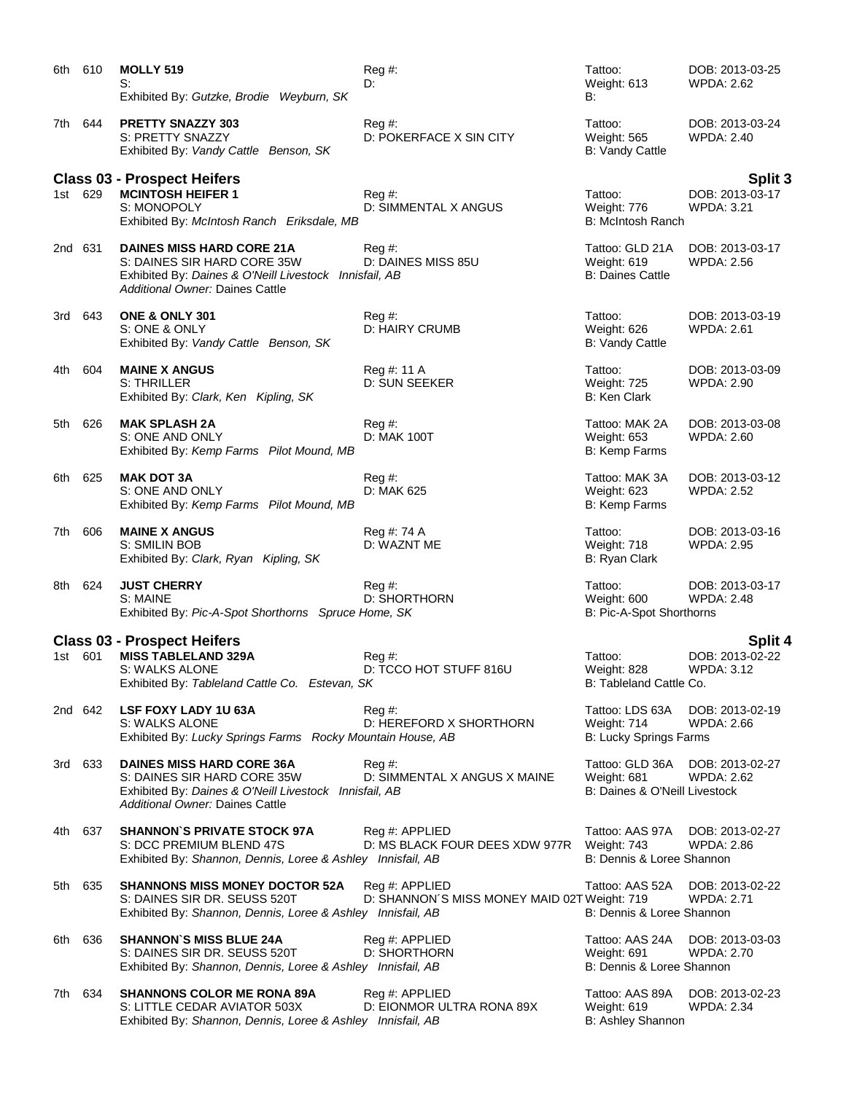| 6th.    | 610     | <b>MOLLY 519</b><br>S:<br>Exhibited By: Gutzke, Brodie Weyburn, SK                                                                                           | Reg #:<br>D:                                                   | Tattoo:<br>Weight: 613<br>B:                                    | DOB: 2013-03-25<br><b>WPDA: 2.62</b>            |
|---------|---------|--------------------------------------------------------------------------------------------------------------------------------------------------------------|----------------------------------------------------------------|-----------------------------------------------------------------|-------------------------------------------------|
| 7th.    | 644     | <b>PRETTY SNAZZY 303</b><br>S: PRETTY SNAZZY<br>Exhibited By: Vandy Cattle Benson, SK                                                                        | Reg#<br>D: POKERFACE X SIN CITY                                | Tattoo:<br>Weight: 565<br><b>B: Vandy Cattle</b>                | DOB: 2013-03-24<br><b>WPDA: 2.40</b>            |
|         | 1st 629 | <b>Class 03 - Prospect Heifers</b><br><b>MCINTOSH HEIFER 1</b><br>S: MONOPOLY<br>Exhibited By: McIntosh Ranch Eriksdale, MB                                  | $Req \#$ :<br>D: SIMMENTAL X ANGUS                             | Tattoo:<br>Weight: 776<br><b>B: McIntosh Ranch</b>              | Split 3<br>DOB: 2013-03-17<br><b>WPDA: 3.21</b> |
|         | 2nd 631 | <b>DAINES MISS HARD CORE 21A</b><br>S: DAINES SIR HARD CORE 35W<br>Exhibited By: Daines & O'Neill Livestock Innisfail, AB<br>Additional Owner: Daines Cattle | Reg#<br>D: DAINES MISS 85U                                     | Tattoo: GLD 21A<br>Weight: 619<br><b>B: Daines Cattle</b>       | DOB: 2013-03-17<br><b>WPDA: 2.56</b>            |
|         | 3rd 643 | <b>ONE &amp; ONLY 301</b><br>S: ONE & ONLY<br>Exhibited By: Vandy Cattle Benson, SK                                                                          | $Reg#$ :<br>D: HAIRY CRUMB                                     | Tattoo:<br>Weight: 626<br><b>B: Vandy Cattle</b>                | DOB: 2013-03-19<br><b>WPDA: 2.61</b>            |
| 4th l   | 604     | <b>MAINE X ANGUS</b><br>S: THRILLER<br>Exhibited By: Clark, Ken Kipling, SK                                                                                  | Reg #: 11 A<br>D: SUN SEEKER                                   | Tattoo:<br>Weight: 725<br><b>B: Ken Clark</b>                   | DOB: 2013-03-09<br><b>WPDA: 2.90</b>            |
| 5th     | 626     | <b>MAK SPLASH 2A</b><br>S: ONE AND ONLY<br>Exhibited By: Kemp Farms Pilot Mound, MB                                                                          | $Reg#$ :<br>D: MAK 100T                                        | Tattoo: MAK 2A<br>Weight: 653<br>B: Kemp Farms                  | DOB: 2013-03-08<br><b>WPDA: 2.60</b>            |
| 6th     | 625     | <b>MAK DOT 3A</b><br>S: ONE AND ONLY<br>Exhibited By: Kemp Farms Pilot Mound, MB                                                                             | Reg #:<br>D: MAK 625                                           | Tattoo: MAK 3A<br>Weight: 623<br>B: Kemp Farms                  | DOB: 2013-03-12<br><b>WPDA: 2.52</b>            |
| 7th     | 606     | <b>MAINE X ANGUS</b><br>S: SMILIN BOB<br>Exhibited By: Clark, Ryan Kipling, SK                                                                               | Reg #: 74 A<br>D: WAZNT ME                                     | Tattoo:<br>Weight: 718<br>B: Ryan Clark                         | DOB: 2013-03-16<br><b>WPDA: 2.95</b>            |
|         | 8th 624 | <b>JUST CHERRY</b><br>S: MAINE<br>Exhibited By: Pic-A-Spot Shorthorns Spruce Home, SK                                                                        | Reg #:<br><b>D: SHORTHORN</b>                                  | Tattoo:<br>Weight: 600<br>B: Pic-A-Spot Shorthorns              | DOB: 2013-03-17<br><b>WPDA: 2.48</b>            |
|         |         | <b>Class 03 - Prospect Heifers</b>                                                                                                                           |                                                                |                                                                 | <b>Split 4</b>                                  |
| 1st 601 |         | <b>MISS TABLELAND 329A</b><br>S: WALKS ALONE<br>Exhibited By: Tableland Cattle Co. Estevan, SK                                                               | Reg#<br>D: TCCO HOT STUFF 816U                                 | Tattoo:<br>Weight: 828<br>B: Tableland Cattle Co.               | DOB: 2013-02-22<br><b>WPDA: 3.12</b>            |
|         | 2nd 642 | <b>LSF FOXY LADY 1U 63A</b><br>S: WALKS ALONE<br>Exhibited By: Lucky Springs Farms Rocky Mountain House, AB                                                  | Reg#<br>D: HEREFORD X SHORTHORN                                | Tattoo: LDS 63A<br>Weight: 714<br>B: Lucky Springs Farms        | DOB: 2013-02-19<br><b>WPDA: 2.66</b>            |
|         | 3rd 633 | <b>DAINES MISS HARD CORE 36A</b><br>S: DAINES SIR HARD CORE 35W<br>Exhibited By: Daines & O'Neill Livestock Innisfail, AB<br>Additional Owner: Daines Cattle | $Reg#$ :<br>D: SIMMENTAL X ANGUS X MAINE                       | Tattoo: GLD 36A<br>Weight: 681<br>B: Daines & O'Neill Livestock | DOB: 2013-02-27<br><b>WPDA: 2.62</b>            |
| 4th l   | 637     | <b>SHANNON'S PRIVATE STOCK 97A</b><br>S: DCC PREMIUM BLEND 47S<br>Exhibited By: Shannon, Dennis, Loree & Ashley Innisfail, AB                                | Reg #: APPLIED<br>D: MS BLACK FOUR DEES XDW 977R               | Tattoo: AAS 97A<br>Weight: 743<br>B: Dennis & Loree Shannon     | DOB: 2013-02-27<br>WPDA: 2.86                   |
| 5th     | 635     | <b>SHANNONS MISS MONEY DOCTOR 52A</b><br>S: DAINES SIR DR. SEUSS 520T<br>Exhibited By: Shannon, Dennis, Loree & Ashley Innisfail, AB                         | Reg #: APPLIED<br>D: SHANNON'S MISS MONEY MAID 02T Weight: 719 | Tattoo: AAS 52A<br>B: Dennis & Loree Shannon                    | DOB: 2013-02-22<br><b>WPDA: 2.71</b>            |
| 6th.    | 636     | <b>SHANNON'S MISS BLUE 24A</b><br>S: DAINES SIR DR. SEUSS 520T<br>Exhibited By: Shannon, Dennis, Loree & Ashley Innisfail, AB                                | Reg #: APPLIED<br>D: SHORTHORN                                 | Tattoo: AAS 24A<br>Weight: 691<br>B: Dennis & Loree Shannon     | DOB: 2013-03-03<br><b>WPDA: 2.70</b>            |
| 7th.    | 634     | <b>SHANNONS COLOR ME RONA 89A</b><br>S: LITTLE CEDAR AVIATOR 503X<br>Exhibited By: Shannon, Dennis, Loree & Ashley Innisfail, AB                             | Reg #: APPLIED<br>D: EIONMOR ULTRA RONA 89X                    | Tattoo: AAS 89A<br>Weight: 619<br>B: Ashley Shannon             | DOB: 2013-02-23<br><b>WPDA: 2.34</b>            |